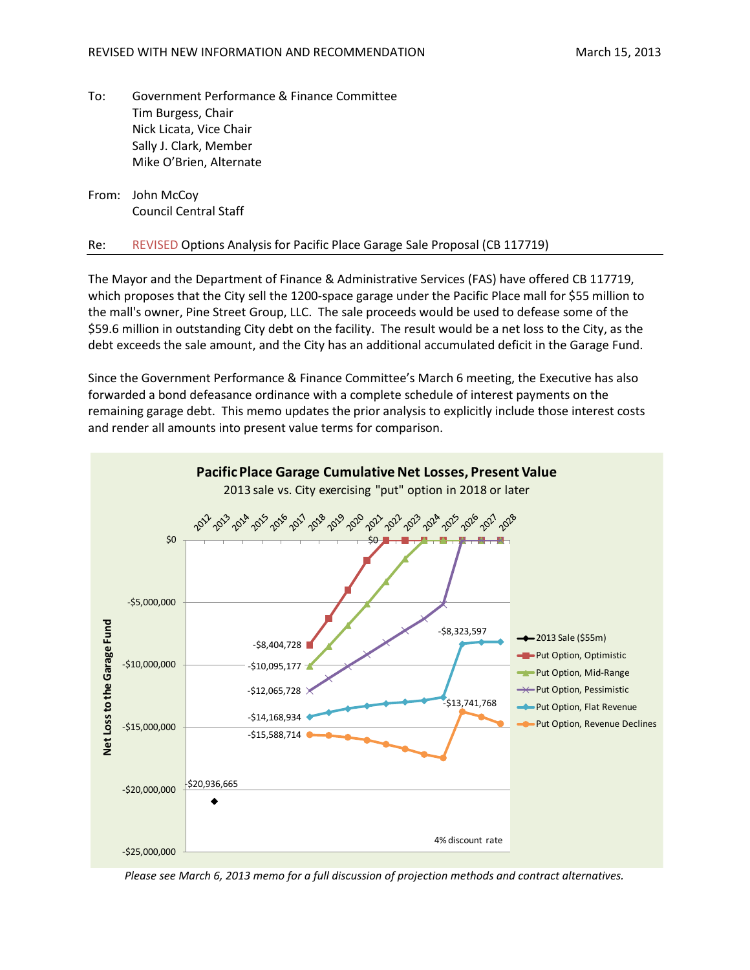To: Government Performance & Finance Committee Tim Burgess, Chair Nick Licata, Vice Chair Sally J. Clark, Member Mike O'Brien, Alternate

From: John McCoy Council Central Staff

## Re: REVISED Options Analysis for Pacific Place Garage Sale Proposal (CB 117719)

The Mayor and the Department of Finance & Administrative Services (FAS) have offered CB 117719, which proposes that the City sell the 1200-space garage under the Pacific Place mall for \$55 million to the mall's owner, Pine Street Group, LLC. The sale proceeds would be used to defease some of the \$59.6 million in outstanding City debt on the facility. The result would be a net loss to the City, as the debt exceeds the sale amount, and the City has an additional accumulated deficit in the Garage Fund.

Since the Government Performance & Finance Committee's March 6 meeting, the Executive has also forwarded a bond defeasance ordinance with a complete schedule of interest payments on the remaining garage debt. This memo updates the prior analysis to explicitly include those interest costs and render all amounts into present value terms for comparison.



*Please see March 6, 2013 memo for a full discussion of projection methods and contract alternatives.*